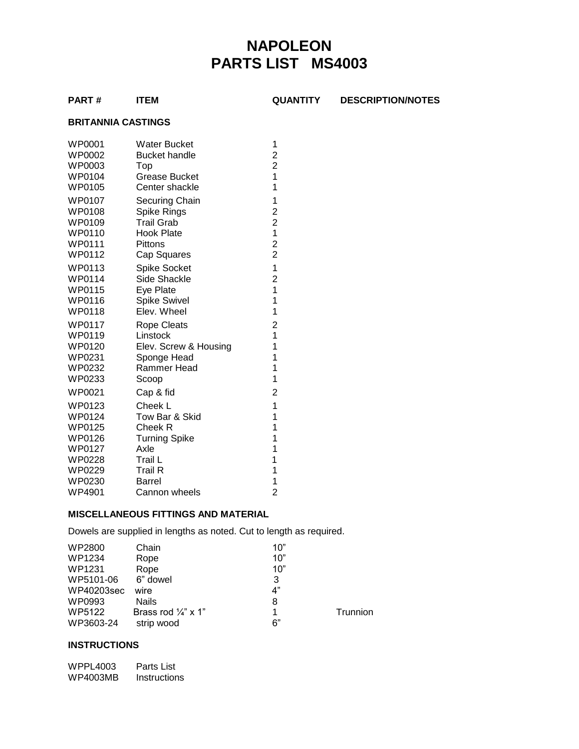# **NAPOLEON PARTS LIST MS4003**

**PART # ITEM QUANTITY DESCRIPTION/NOTES**

#### **BRITANNIA CASTINGS**

| <b>WP0001</b><br>WP0002 | <b>Water Bucket</b><br><b>Bucket handle</b> | 1<br>$\overline{\mathbf{c}}$ |
|-------------------------|---------------------------------------------|------------------------------|
| WP0003                  | Top                                         | $\overline{\mathbf{c}}$      |
| WP0104                  | Grease Bucket                               | 1                            |
| WP0105                  | Center shackle                              | 1                            |
| WP0107                  | Securing Chain                              | 1                            |
| WP0108                  | Spike Rings                                 | $\overline{\mathbf{c}}$      |
| WP0109                  | <b>Trail Grab</b>                           | $\overline{\mathbf{c}}$      |
| WP0110                  | <b>Hook Plate</b>                           | $\mathbf 1$                  |
| WP0111                  | <b>Pittons</b>                              | $\overline{c}$               |
| WP0112                  | Cap Squares                                 | $\overline{c}$               |
| WP0113                  | <b>Spike Socket</b>                         | $\mathbf 1$                  |
| WP0114                  | Side Shackle                                | $\overline{c}$               |
| <b>WP0115</b>           | Eye Plate                                   | 1                            |
| WP0116                  | Spike Swivel                                | 1                            |
| <b>WP0118</b>           | Elev. Wheel                                 | 1                            |
| WP0117                  | <b>Rope Cleats</b>                          | $\overline{\mathbf{c}}$      |
| WP0119                  | Linstock                                    | 1                            |
| WP0120                  | Elev. Screw & Housing                       | 1                            |
| WP0231                  | Sponge Head                                 | 1                            |
| WP0232                  | Rammer Head                                 | 1                            |
| WP0233                  | Scoop                                       | 1                            |
| WP0021                  | Cap & fid                                   | 2                            |
| WP0123                  | Cheek L                                     | 1                            |
| WP0124                  | Tow Bar & Skid                              | 1                            |
| <b>WP0125</b>           | Cheek R                                     | 1                            |
| WP0126                  | <b>Turning Spike</b>                        | 1                            |
| WP0127                  | Axle                                        | 1                            |
| <b>WP0228</b>           | Trail L                                     | 1                            |
| WP0229                  | <b>Trail R</b>                              | 1                            |
| WP0230                  | Barrel                                      | 1                            |
| WP4901                  | Cannon wheels                               | $\overline{c}$               |

### **MISCELLANEOUS FITTINGS AND MATERIAL**

Dowels are supplied in lengths as noted. Cut to length as required.

| WP2800     | Chain                          | 10" |          |
|------------|--------------------------------|-----|----------|
| WP1234     | Rope                           | 10" |          |
| WP1231     | Rope                           | 10" |          |
| WP5101-06  | 6" dowel                       | 3   |          |
| WP40203sec | wire                           | 4"  |          |
| WP0993     | <b>Nails</b>                   | 8   |          |
| WP5122     | Brass rod $\frac{1}{4}$ " x 1" | 1   | Trunnion |
| WP3603-24  | strip wood                     | 6"  |          |

#### **INSTRUCTIONS**

WPPL4003 Parts List WP4003MB Instructions